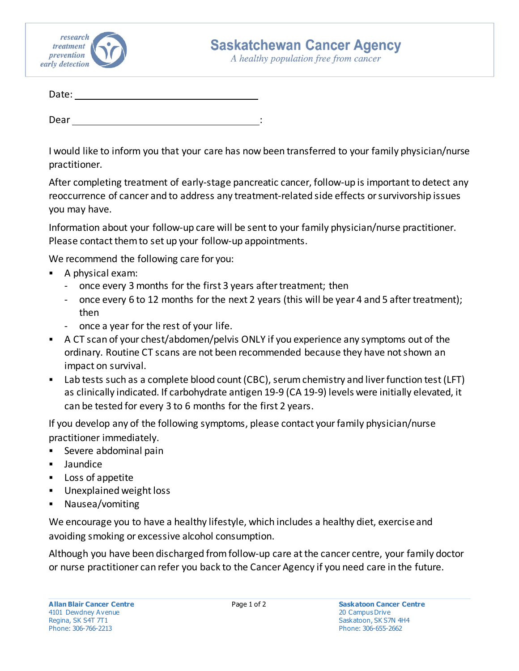

A healthy population free from cancer

| Date: |  |
|-------|--|
|       |  |
| Dear  |  |

I would like to inform you that your care has now been transferred to your family physician/nurse practitioner.

After completing treatment of early-stage pancreatic cancer, follow-up is important to detect any reoccurrence of cancer and to address any treatment-related side effects or survivorship issues you may have.

Information about your follow-up care will be sent to your family physician/nurse practitioner. Please contact them to set up your follow-up appointments.

We recommend the following care for you:

- A physical exam:
	- once every 3 months for the first 3 years after treatment; then
	- once every 6 to 12 months for the next 2 years (this will be year 4 and 5 after treatment); then
	- once a year for the rest of your life.
- A CT scan of your chest/abdomen/pelvis ONLY if you experience any symptoms out of the ordinary. Routine CT scans are not been recommended because they have not shown an impact on survival.
- Lab tests such as a complete blood count (CBC), serum chemistry and liver function test (LFT) as clinically indicated. If carbohydrate antigen 19-9 (CA 19-9) levels were initially elevated, it can be tested for every 3 to 6 months for the first 2 years.

If you develop any of the following symptoms, please contact your family physician/nurse practitioner immediately.

- Severe abdominal pain
- Jaundice
- **Loss of appetite**
- Unexplained weight loss
- Nausea/vomiting

We encourage you to have a healthy lifestyle, which includes a healthy diet, exercise and avoiding smoking or excessive alcohol consumption.

Although you have been discharged from follow-up care at the cancer centre, your family doctor or nurse practitioner can refer you back to the Cancer Agency if you need care in the future.